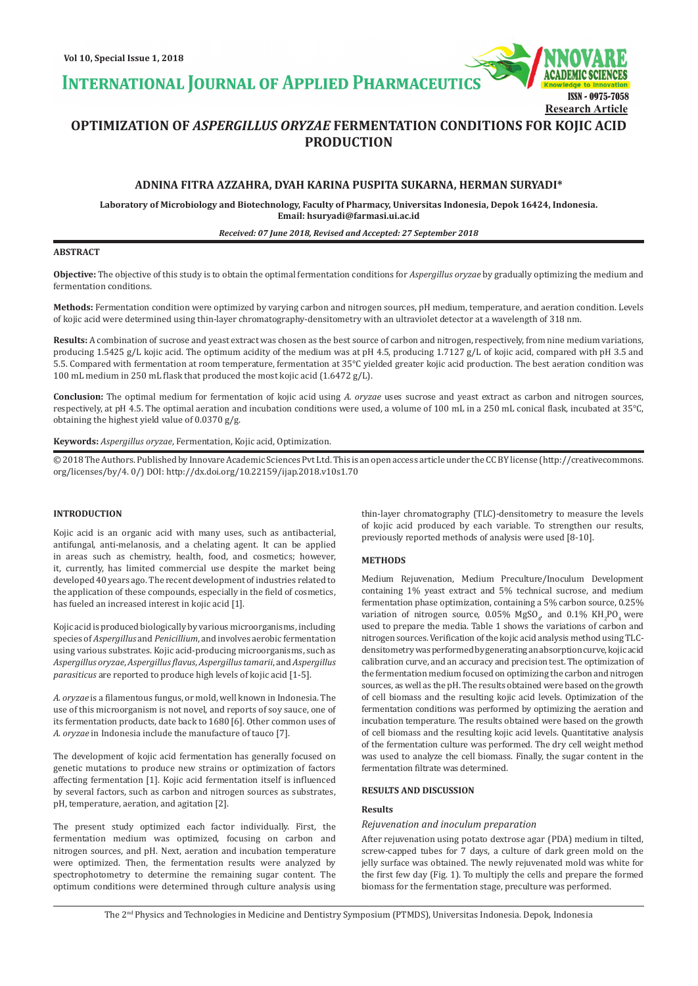**INTERNATIONAL JOURNAL OF APPLIED PHARMACEUTIC** 

ISSN - 0975-7058 **Research Article**

# **OPTIMIZATION OF** *ASPERGILLUS ORYZAE* **FERMENTATION CONDITIONS FOR KOJIC ACID PRODUCTION**

# **ADNINA FITRA AZZAHRA, DYAH KARINA PUSPITA SUKARNA, HERMAN SURYADI\***

**Laboratory of Microbiology and Biotechnology, Faculty of Pharmacy, Universitas Indonesia, Depok 16424, Indonesia. Email: hsuryadi@farmasi.ui.ac.id**

#### *Received: 07 June 2018, Revised and Accepted: 27 September 2018*

### **ABSTRACT**

**Objective:** The objective of this study is to obtain the optimal fermentation conditions for *Aspergillus oryzae* by gradually optimizing the medium and fermentation conditions.

**Methods:** Fermentation condition were optimized by varying carbon and nitrogen sources, pH medium, temperature, and aeration condition. Levels of kojic acid were determined using thin-layer chromatography-densitometry with an ultraviolet detector at a wavelength of 318 nm.

**Results:** A combination of sucrose and yeast extract was chosen as the best source of carbon and nitrogen, respectively, from nine medium variations, producing 1.5425 g/L kojic acid. The optimum acidity of the medium was at pH 4.5, producing 1.7127 g/L of kojic acid, compared with pH 3.5 and 5.5. Compared with fermentation at room temperature, fermentation at 35°C yielded greater kojic acid production. The best aeration condition was 100 mL medium in 250 mL flask that produced the most kojic acid (1.6472 g/L).

**Conclusion:** The optimal medium for fermentation of kojic acid using *A. oryzae* uses sucrose and yeast extract as carbon and nitrogen sources, respectively, at pH 4.5. The optimal aeration and incubation conditions were used, a volume of 100 mL in a 250 mL conical flask, incubated at 35°C, obtaining the highest yield value of 0.0370 g/g.

**Keywords:** *Aspergillus oryzae*, Fermentation, Kojic acid, Optimization.

© 2018 The Authors. Published by Innovare Academic Sciences Pvt Ltd. This is an open access article under the CC BY license (http://creativecommons. org/licenses/by/4. 0/) DOI: http://dx.doi.org/10.22159/ijap.2018.v10s1.70

### **INTRODUCTION**

Kojic acid is an organic acid with many uses, such as antibacterial, antifungal, anti-melanosis, and a chelating agent. It can be applied in areas such as chemistry, health, food, and cosmetics; however, it, currently, has limited commercial use despite the market being developed 40 years ago. The recent development of industries related to the application of these compounds, especially in the field of cosmetics, has fueled an increased interest in kojic acid [1].

Kojic acid is produced biologically by various microorganisms, including species of *Aspergillus* and *Penicillium*, and involves aerobic fermentation using various substrates. Kojic acid-producing microorganisms, such as *Aspergillus oryzae*, *Aspergillus flavus*, *Aspergillus tamarii*, and *Aspergillus parasiticus* are reported to produce high levels of kojic acid [1-5].

*A. oryzae* is a filamentous fungus, or mold, well known in Indonesia. The use of this microorganism is not novel, and reports of soy sauce, one of its fermentation products, date back to 1680 [6]. Other common uses of *A. oryzae* in Indonesia include the manufacture of tauco [7].

The development of kojic acid fermentation has generally focused on genetic mutations to produce new strains or optimization of factors affecting fermentation [1]. Kojic acid fermentation itself is influenced by several factors, such as carbon and nitrogen sources as substrates, pH, temperature, aeration, and agitation [2].

The present study optimized each factor individually. First, the fermentation medium was optimized, focusing on carbon and nitrogen sources, and pH. Next, aeration and incubation temperature were optimized. Then, the fermentation results were analyzed by spectrophotometry to determine the remaining sugar content. The optimum conditions were determined through culture analysis using thin-layer chromatography (TLC)-densitometry to measure the levels of kojic acid produced by each variable. To strengthen our results, previously reported methods of analysis were used [8-10].

### **METHODS**

Medium Rejuvenation, Medium Preculture/Inoculum Development containing 1% yeast extract and 5% technical sucrose, and medium fermentation phase optimization, containing a 5% carbon source, 0.25% variation of nitrogen source,  $0.05\%$  MgSO<sub>4</sub>, and  $0.1\%$  KH<sub>2</sub>PO<sub>4</sub> were used to prepare the media. Table 1 shows the variations of carbon and nitrogen sources. Verification of the kojic acid analysis method using TLCdensitometry was performed by generating an absorption curve, kojic acid calibration curve, and an accuracy and precision test. The optimization of the fermentation medium focused on optimizing the carbon and nitrogen sources, as well as the pH. The results obtained were based on the growth of cell biomass and the resulting kojic acid levels. Optimization of the fermentation conditions was performed by optimizing the aeration and incubation temperature. The results obtained were based on the growth of cell biomass and the resulting kojic acid levels. Quantitative analysis of the fermentation culture was performed. The dry cell weight method was used to analyze the cell biomass. Finally, the sugar content in the fermentation filtrate was determined.

### **RESULTS AND DISCUSSION**

#### **Results**

### *Rejuvenation and inoculum preparation*

After rejuvenation using potato dextrose agar (PDA) medium in tilted, screw-capped tubes for 7 days, a culture of dark green mold on the jelly surface was obtained. The newly rejuvenated mold was white for the first few day (Fig. 1). To multiply the cells and prepare the formed biomass for the fermentation stage, preculture was performed.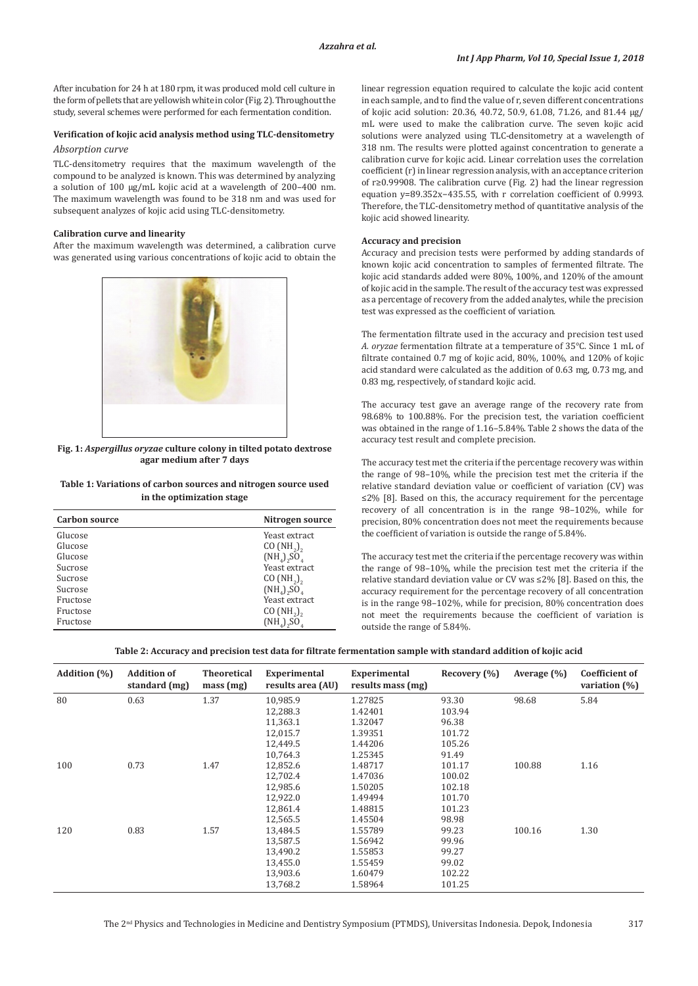After incubation for 24 h at 180 rpm, it was produced mold cell culture in the form of pellets that are yellowish white in color (Fig. 2). Throughout the study, several schemes were performed for each fermentation condition.

# **Verification of kojic acid analysis method using TLC-densitometry**

# *Absorption curve*

TLC-densitometry requires that the maximum wavelength of the compound to be analyzed is known. This was determined by analyzing a solution of 100 μg/mL kojic acid at a wavelength of 200–400 nm. The maximum wavelength was found to be 318 nm and was used for subsequent analyzes of kojic acid using TLC-densitometry.

### **Calibration curve and linearity**

After the maximum wavelength was determined, a calibration curve was generated using various concentrations of kojic acid to obtain the



**Fig. 1:** *Aspergillus oryzae* **culture colony in tilted potato dextrose agar medium after 7 days**

### **Table 1: Variations of carbon sources and nitrogen source used in the optimization stage**

| <b>Carbon source</b> | Nitrogen source                       |
|----------------------|---------------------------------------|
| Glucose              | Yeast extract                         |
| Glucose              | $CO(NH_2)$                            |
| Glucose              | $(NH_4)$ <sub>2</sub> SO <sub>4</sub> |
| Sucrose              | Yeast extract                         |
| Sucrose              | CO(NH <sub>2</sub> )                  |
| Sucrose              | $(NH_4)$ <sub>2</sub> SO <sub>4</sub> |
| Fructose             | Yeast extract                         |
| Fructose             | $CO(NH_2)$                            |
| Fructose             | $(NHa)aSOa$                           |

linear regression equation required to calculate the kojic acid content in each sample, and to find the value of r, seven different concentrations of kojic acid solution: 20.36, 40.72, 50.9, 61.08, 71.26, and 81.44 µg/ mL were used to make the calibration curve. The seven kojic acid solutions were analyzed using TLC-densitometry at a wavelength of 318 nm. The results were plotted against concentration to generate a calibration curve for kojic acid. Linear correlation uses the correlation coefficient (r) in linear regression analysis, with an acceptance criterion of r≥0.99908. The calibration curve (Fig. 2) had the linear regression equation y=89.352x−435.55, with r correlation coefficient of 0.9993. Therefore, the TLC-densitometry method of quantitative analysis of the kojic acid showed linearity.

### **Accuracy and precision**

Accuracy and precision tests were performed by adding standards of known kojic acid concentration to samples of fermented filtrate. The kojic acid standards added were 80%, 100%, and 120% of the amount of kojic acid in the sample. The result of the accuracy test was expressed as a percentage of recovery from the added analytes, while the precision test was expressed as the coefficient of variation.

The fermentation filtrate used in the accuracy and precision test used *A. oryzae* fermentation filtrate at a temperature of 35°C. Since 1 mL of filtrate contained 0.7 mg of kojic acid, 80%, 100%, and 120% of kojic acid standard were calculated as the addition of 0.63 mg, 0.73 mg, and 0.83 mg, respectively, of standard kojic acid.

The accuracy test gave an average range of the recovery rate from 98.68% to 100.88%. For the precision test, the variation coefficient was obtained in the range of 1.16–5.84%. Table 2 shows the data of the accuracy test result and complete precision.

The accuracy test met the criteria if the percentage recovery was within the range of 98–10%, while the precision test met the criteria if the relative standard deviation value or coefficient of variation (CV) was ≤2% [8]. Based on this, the accuracy requirement for the percentage recovery of all concentration is in the range 98–102%, while for precision, 80% concentration does not meet the requirements because the coefficient of variation is outside the range of 5.84%.

The accuracy test met the criteria if the percentage recovery was within the range of 98–10%, while the precision test met the criteria if the relative standard deviation value or CV was ≤2% [8]. Based on this, the accuracy requirement for the percentage recovery of all concentration is in the range 98–102%, while for precision, 80% concentration does not meet the requirements because the coefficient of variation is outside the range of 5.84%.

### **Table 2: Accuracy and precision test data for filtrate fermentation sample with standard addition of kojic acid**

| <b>Addition</b> (%) | <b>Addition of</b><br>standard (mg) | <b>Theoretical</b><br>mass(mg) | Experimental<br>results area (AU) | Experimental<br>results mass (mg) | Recovery (%) | Average $(\% )$ | <b>Coefficient of</b><br>variation $(\%)$ |
|---------------------|-------------------------------------|--------------------------------|-----------------------------------|-----------------------------------|--------------|-----------------|-------------------------------------------|
| 80                  | 0.63                                | 1.37                           | 10,985.9                          | 1.27825                           | 93.30        | 98.68           | 5.84                                      |
|                     |                                     |                                | 12,288.3                          | 1.42401                           | 103.94       |                 |                                           |
|                     |                                     |                                | 11,363.1                          | 1.32047                           | 96.38        |                 |                                           |
|                     |                                     |                                | 12,015.7                          | 1.39351                           | 101.72       |                 |                                           |
|                     |                                     |                                | 12,449.5                          | 1.44206                           | 105.26       |                 |                                           |
|                     |                                     |                                | 10.764.3                          | 1.25345                           | 91.49        |                 |                                           |
| 100                 | 0.73                                | 1.47                           | 12,852.6                          | 1.48717                           | 101.17       | 100.88          | 1.16                                      |
|                     |                                     |                                | 12,702.4                          | 1.47036                           | 100.02       |                 |                                           |
|                     |                                     |                                | 12,985.6                          | 1.50205                           | 102.18       |                 |                                           |
|                     |                                     |                                | 12,922.0                          | 1.49494                           | 101.70       |                 |                                           |
|                     |                                     |                                | 12,861.4                          | 1.48815                           | 101.23       |                 |                                           |
|                     |                                     |                                | 12,565.5                          | 1.45504                           | 98.98        |                 |                                           |
| 120                 | 0.83                                | 1.57                           | 13,484.5                          | 1.55789                           | 99.23        | 100.16          | 1.30                                      |
|                     |                                     |                                | 13,587.5                          | 1.56942                           | 99.96        |                 |                                           |
|                     |                                     |                                | 13,490.2                          | 1.55853                           | 99.27        |                 |                                           |
|                     |                                     |                                | 13,455.0                          | 1.55459                           | 99.02        |                 |                                           |
|                     |                                     |                                | 13,903.6                          | 1.60479                           | 102.22       |                 |                                           |
|                     |                                     |                                | 13,768.2                          | 1.58964                           | 101.25       |                 |                                           |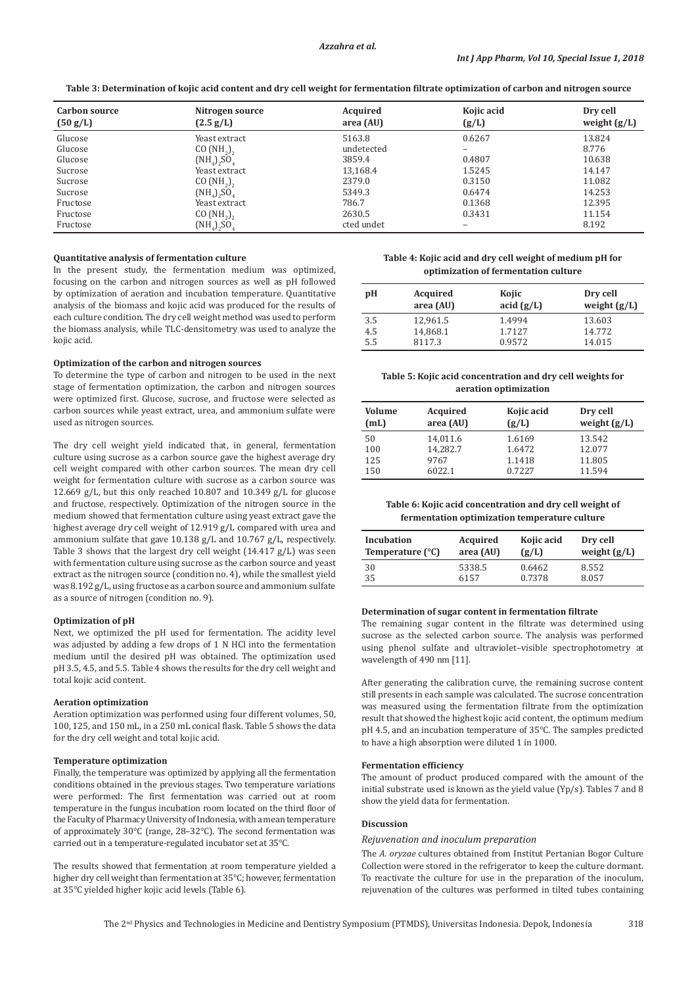**Table 3: Determination of kojic acid content and dry cell weight for fermentation filtrate optimization of carbon and nitrogen source**

| Carbon source<br>(50 g/L) | Nitrogen source<br>$(2.5 \text{ g/L})$ | Acquired<br>area (AU) | Kojic acid<br>(g/L) | Dry cell<br>weight $(g/L)$ |
|---------------------------|----------------------------------------|-----------------------|---------------------|----------------------------|
| Glucose                   | Yeast extract                          | 5163.8                | 0.6267              | 13.824                     |
| Glucose                   | $CO(NH_2)$                             | undetected            | -                   | 8.776                      |
| Glucose                   | $(NHA)$ <sub>2</sub> SO <sub>4</sub>   | 3859.4                | 0.4807              | 10.638                     |
| Sucrose                   | Yeast extract                          | 13,168.4              | 1.5245              | 14.147                     |
| Sucrose                   | CO(NH <sub>2</sub> )                   | 2379.0                | 0.3150              | 11.082                     |
| Sucrose                   | $(NH_4)$ <sub>2</sub> SO <sub>4</sub>  | 5349.3                | 0.6474              | 14.253                     |
| Fructose                  | Yeast extract                          | 786.7                 | 0.1368              | 12.395                     |
| Fructose                  | CO $(NH_2)_2$                          | 2630.5                | 0.3431              | 11.154                     |
| Fructose                  | $(NH_4)_2SO_4$                         | cted undet            | -                   | 8.192                      |

#### **Quantitative analysis of fermentation culture**

In the present study, the fermentation medium was optimized, focusing on the carbon and nitrogen sources as well as pH followed by optimization of aeration and incubation temperature. Quantitative analysis of the biomass and kojic acid was produced for the results of each culture condition. The dry cell weight method was used to perform the biomass analysis, while TLC-densitometry was used to analyze the kojic acid.

### **Optimization of the carbon and nitrogen sources**

To determine the type of carbon and nitrogen to be used in the next stage of fermentation optimization, the carbon and nitrogen sources were optimized first. Glucose, sucrose, and fructose were selected as carbon sources while yeast extract, urea, and ammonium sulfate were used as nitrogen sources.

The dry cell weight yield indicated that, in general, fermentation culture using sucrose as a carbon source gave the highest average dry cell weight compared with other carbon sources. The mean dry cell weight for fermentation culture with sucrose as a carbon source was 12.669 g/L, but this only reached 10.807 and 10.349 g/L for glucose and fructose, respectively. Optimization of the nitrogen source in the medium showed that fermentation culture using yeast extract gave the highest average dry cell weight of 12.919 g/L compared with urea and ammonium sulfate that gave 10.138 g/L and 10.767 g/L, respectively. Table 3 shows that the largest dry cell weight (14.417 g/L) was seen with fermentation culture using sucrose as the carbon source and yeast extract as the nitrogen source (condition no. 4), while the smallest yield was 8.192 g/L, using fructose as a carbon source and ammonium sulfate as a source of nitrogen (condition no. 9).

#### **Optimization of pH**

Next, we optimized the pH used for fermentation. The acidity level was adjusted by adding a few drops of 1 N HCl into the fermentation medium until the desired pH was obtained. The optimization used pH 3.5, 4.5, and 5.5. Table 4 shows the results for the dry cell weight and total kojic acid content.

### **Aeration optimization**

Aeration optimization was performed using four different volumes, 50, 100, 125, and 150 mL, in a 250 mL conical flask. Table 5 shows the data for the dry cell weight and total kojic acid.

### **Temperature optimization**

Finally, the temperature was optimized by applying all the fermentation conditions obtained in the previous stages. Two temperature variations were performed: The first fermentation was carried out at room temperature in the fungus incubation room located on the third floor of the Faculty of Pharmacy University of Indonesia, with a mean temperature of approximately 30°C (range, 28–32°C). The second fermentation was carried out in a temperature-regulated incubator set at 35°C.

The results showed that fermentation at room temperature yielded a higher dry cell weight than fermentation at 35°C; however, fermentation at 35°C yielded higher kojic acid levels (Table 6).

| Table 4: Kojic acid and dry cell weight of medium pH for |
|----------------------------------------------------------|
| optimization of fermentation culture                     |

| pH  | Acquired<br>area (AU) | Kojic<br>acid (g/L) | Dry cell<br>weight $(g/L)$ |
|-----|-----------------------|---------------------|----------------------------|
| 3.5 | 12,961.5              | 1.4994              | 13.603                     |
| 4.5 | 14,868.1              | 1.7127              | 14.772                     |
| 5.5 | 8117.3                | 0.9572              | 14.015                     |

### **Table 5: Kojic acid concentration and dry cell weights for aeration optimization**

| Volume<br>(mL) | Acquired<br>area (AU) | Kojic acid<br>(g/L) | Dry cell<br>weight $(g/L)$ |
|----------------|-----------------------|---------------------|----------------------------|
| 50             | 14,011.6              | 1.6169              | 13.542                     |
| 100            | 14,282.7              | 1.6472              | 12.077                     |
| 125            | 9767                  | 1.1418              | 11.805                     |
| 150            | 6022.1                | 0.7227              | 11.594                     |

**Table 6: Kojic acid concentration and dry cell weight of fermentation optimization temperature culture**

| Incubation                | Acquired  | Kojic acid | Dry cell       |
|---------------------------|-----------|------------|----------------|
| Temperature $(^{\circ}C)$ | area (AU) | (g/L)      | weight $(g/L)$ |
| 30                        | 5338.5    | 0.6462     | 8.552          |
| 35                        | 6157      | 0.7378     | 8.057          |

### **Determination of sugar content in fermentation filtrate**

The remaining sugar content in the filtrate was determined using sucrose as the selected carbon source. The analysis was performed using phenol sulfate and ultraviolet–visible spectrophotometry at wavelength of 490 nm [11].

After generating the calibration curve, the remaining sucrose content still presents in each sample was calculated. The sucrose concentration was measured using the fermentation filtrate from the optimization result that showed the highest kojic acid content, the optimum medium pH 4.5, and an incubation temperature of 35°C. The samples predicted to have a high absorption were diluted 1 in 1000.

#### **Fermentation efficiency**

The amount of product produced compared with the amount of the initial substrate used is known as the yield value (Yp/s). Tables 7 and 8 show the yield data for fermentation.

### **Discussion**

# *Rejuvenation and inoculum preparation*

The *A. oryzae* cultures obtained from Institut Pertanian Bogor Culture Collection were stored in the refrigerator to keep the culture dormant. To reactivate the culture for use in the preparation of the inoculum, rejuvenation of the cultures was performed in tilted tubes containing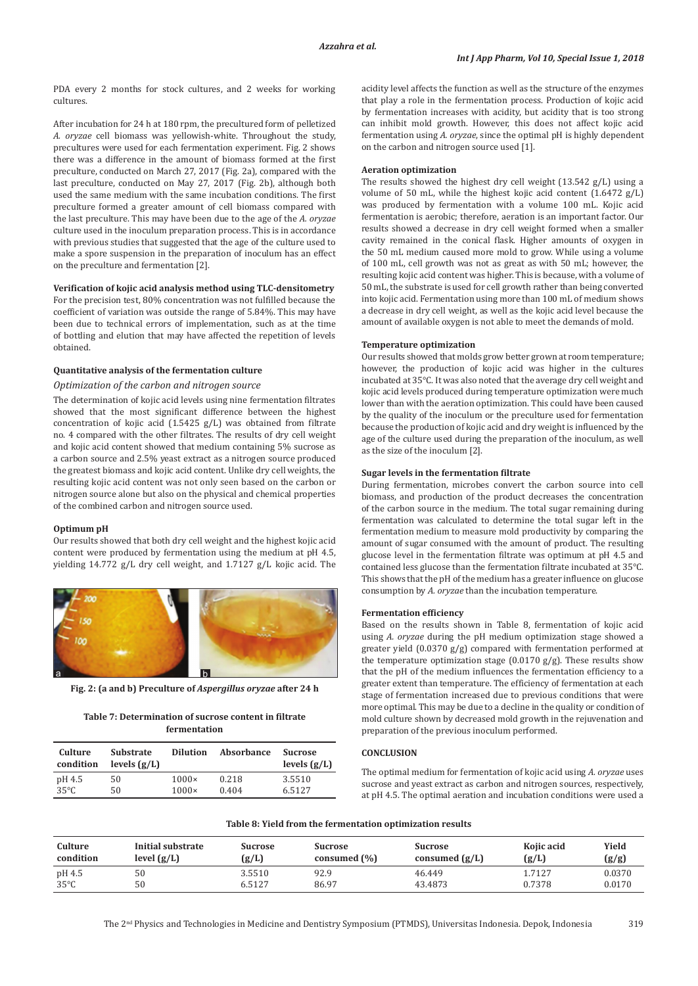PDA every 2 months for stock cultures, and 2 weeks for working cultures.

After incubation for 24 h at 180 rpm, the precultured form of pelletized *A. oryzae* cell biomass was yellowish-white. Throughout the study, precultures were used for each fermentation experiment. Fig. 2 shows there was a difference in the amount of biomass formed at the first preculture, conducted on March 27, 2017 (Fig. 2a), compared with the last preculture, conducted on May 27, 2017 (Fig. 2b), although both used the same medium with the same incubation conditions. The first preculture formed a greater amount of cell biomass compared with the last preculture. This may have been due to the age of the *A. oryzae* culture used in the inoculum preparation process. This is in accordance with previous studies that suggested that the age of the culture used to make a spore suspension in the preparation of inoculum has an effect on the preculture and fermentation [2].

### **Verification of kojic acid analysis method using TLC-densitometry**

For the precision test, 80% concentration was not fulfilled because the coefficient of variation was outside the range of 5.84%. This may have been due to technical errors of implementation, such as at the time of bottling and elution that may have affected the repetition of levels obtained.

### **Quantitative analysis of the fermentation culture**

### *Optimization of the carbon and nitrogen source*

The determination of kojic acid levels using nine fermentation filtrates showed that the most significant difference between the highest concentration of kojic acid (1.5425 g/L) was obtained from filtrate no. 4 compared with the other filtrates. The results of dry cell weight and kojic acid content showed that medium containing 5% sucrose as a carbon source and 2.5% yeast extract as a nitrogen source produced the greatest biomass and kojic acid content. Unlike dry cell weights, the resulting kojic acid content was not only seen based on the carbon or nitrogen source alone but also on the physical and chemical properties of the combined carbon and nitrogen source used.

#### **Optimum pH**

Our results showed that both dry cell weight and the highest kojic acid content were produced by fermentation using the medium at pH 4.5, yielding 14.772 g/L dry cell weight, and 1.7127 g/L kojic acid. The



**Fig. 2: (a and b) Preculture of** *Aspergillus oryzae* **after 24 h**

| Table 7: Determination of sucrose content in filtrate |
|-------------------------------------------------------|
| fermentation                                          |

| Culture<br>condition | <b>Substrate</b><br>levels $(g/L)$ | <b>Dilution</b> | Absorbance | <b>Sucrose</b><br>levels $(g/L)$ |
|----------------------|------------------------------------|-----------------|------------|----------------------------------|
| pH 4.5               | 50                                 | $1000\times$    | 0.218      | 3.5510                           |
| $35^{\circ}$ C       | 50                                 | $1000\times$    | 0.404      | 6.5127                           |

acidity level affects the function as well as the structure of the enzymes that play a role in the fermentation process. Production of kojic acid by fermentation increases with acidity, but acidity that is too strong can inhibit mold growth. However, this does not affect kojic acid fermentation using *A. oryzae*, since the optimal pH is highly dependent on the carbon and nitrogen source used [1].

#### **Aeration optimization**

The results showed the highest dry cell weight (13.542 g/L) using a volume of 50 mL, while the highest kojic acid content (1.6472 g/L) was produced by fermentation with a volume 100 mL. Kojic acid fermentation is aerobic; therefore, aeration is an important factor. Our results showed a decrease in dry cell weight formed when a smaller cavity remained in the conical flask. Higher amounts of oxygen in the 50 mL medium caused more mold to grow. While using a volume of 100 mL, cell growth was not as great as with 50 mL; however, the resulting kojic acid content was higher. This is because, with a volume of 50 mL, the substrate is used for cell growth rather than being converted into kojic acid. Fermentation using more than 100 mL of medium shows a decrease in dry cell weight, as well as the kojic acid level because the amount of available oxygen is not able to meet the demands of mold.

### **Temperature optimization**

Our results showed that molds grow better grown at room temperature; however, the production of kojic acid was higher in the cultures incubated at 35°C. It was also noted that the average dry cell weight and kojic acid levels produced during temperature optimization were much lower than with the aeration optimization. This could have been caused by the quality of the inoculum or the preculture used for fermentation because the production of kojic acid and dry weight is influenced by the age of the culture used during the preparation of the inoculum, as well as the size of the inoculum [2].

#### **Sugar levels in the fermentation filtrate**

During fermentation, microbes convert the carbon source into cell biomass, and production of the product decreases the concentration of the carbon source in the medium. The total sugar remaining during fermentation was calculated to determine the total sugar left in the fermentation medium to measure mold productivity by comparing the amount of sugar consumed with the amount of product. The resulting glucose level in the fermentation filtrate was optimum at pH 4.5 and contained less glucose than the fermentation filtrate incubated at 35°C. This shows that the pH of the medium has a greater influence on glucose consumption by *A. oryzae* than the incubation temperature.

#### **Fermentation efficiency**

Based on the results shown in Table 8, fermentation of kojic acid using *A. oryzae* during the pH medium optimization stage showed a greater yield (0.0370 g/g) compared with fermentation performed at the temperature optimization stage  $(0.0170 \text{ g/g})$ . These results show that the pH of the medium influences the fermentation efficiency to a greater extent than temperature. The efficiency of fermentation at each stage of fermentation increased due to previous conditions that were more optimal. This may be due to a decline in the quality or condition of mold culture shown by decreased mold growth in the rejuvenation and preparation of the previous inoculum performed.

#### **CONCLUSION**

The optimal medium for fermentation of kojic acid using *A. oryzae* uses sucrose and yeast extract as carbon and nitrogen sources, respectively, at pH 4.5. The optimal aeration and incubation conditions were used a

| Culture   | Initial substrate | <b>Sucrose</b> | <b>Sucrose</b>   | <b>Sucrose</b>   | Kojic acid | Yield  |
|-----------|-------------------|----------------|------------------|------------------|------------|--------|
| condition | level $(g/L)$     | (g/L)          | consumed $(\% )$ | consumed $(g/L)$ | (g/L)      | (g/g)  |
| pH 4.5    | 50                | 3.5510         | 92.9             | 46.449           | 1.7127     | 0.0370 |
| 35°C      | 50                | 6.5127         | 86.97            | 43.4873          | 0.7378     | 0.0170 |

#### **Table 8: Yield from the fermentation optimization results**